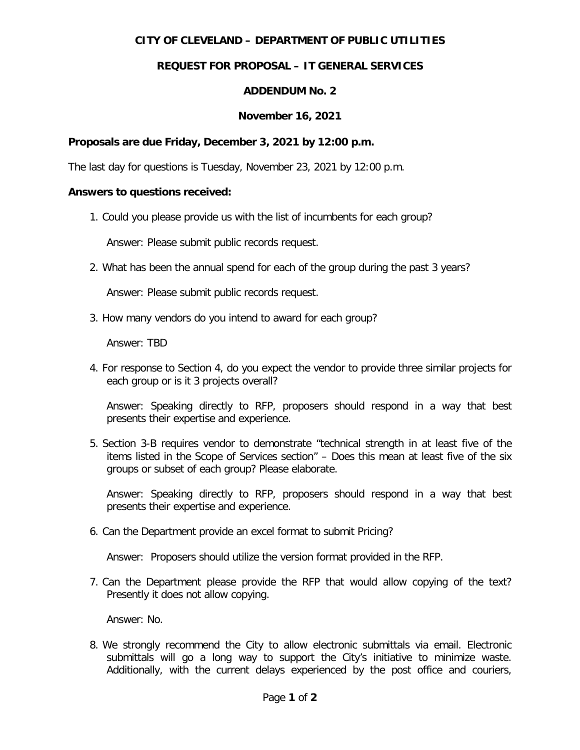# **CITY OF CLEVELAND – DEPARTMENT OF PUBLIC UTILITIES**

# **REQUEST FOR PROPOSAL – IT GENERAL SERVICES**

### **ADDENDUM No. 2**

### **November 16, 2021**

#### **Proposals are due Friday, December 3, 2021 by 12:00 p.m.**

The last day for questions is Tuesday, November 23, 2021 by 12:00 p.m.

#### **Answers to questions received:**

1. Could you please provide us with the list of incumbents for each group?

Answer: Please submit public records request.

2. What has been the annual spend for each of the group during the past 3 years?

Answer: Please submit public records request.

3. How many vendors do you intend to award for each group?

Answer: TBD

4. For response to Section 4, do you expect the vendor to provide three similar projects for each group or is it 3 projects overall?

Answer: Speaking directly to RFP, proposers should respond in a way that best presents their expertise and experience.

5. Section 3-B requires vendor to demonstrate "technical strength in at least five of the items listed in the Scope of Services section" – Does this mean at least five of the six groups or subset of each group? Please elaborate.

Answer: Speaking directly to RFP, proposers should respond in a way that best presents their expertise and experience.

6. Can the Department provide an excel format to submit Pricing?

Answer: Proposers should utilize the version format provided in the RFP.

7. Can the Department please provide the RFP that would allow copying of the text? Presently it does not allow copying.

Answer: No.

8. We strongly recommend the City to allow electronic submittals via email. Electronic submittals will go a long way to support the City's initiative to minimize waste. Additionally, with the current delays experienced by the post office and couriers,